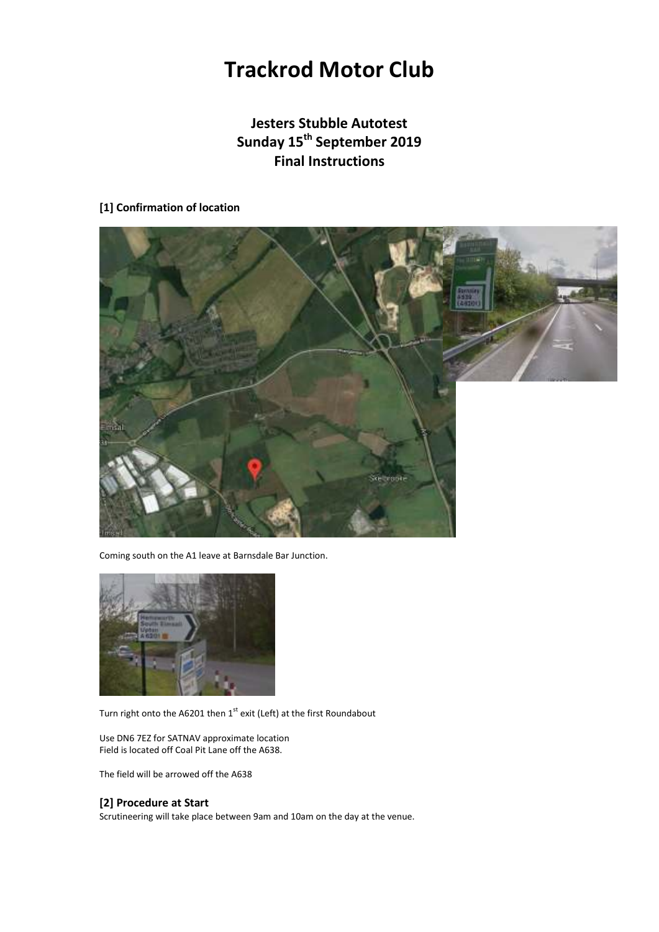# **Trackrod Motor Club**

# **Jesters Stubble Autotest Sunday 15th September 2019 Final Instructions**

## **[1] Confirmation of location**



Coming south on the A1 leave at Barnsdale Bar Junction.



Turn right onto the A6201 then 1<sup>st</sup> exit (Left) at the first Roundabout

Use DN6 7EZ for SATNAV approximate location Field is located off Coal Pit Lane off the A638.

The field will be arrowed off the A638

## **[2] Procedure at Start**

Scrutineering will take place between 9am and 10am on the day at the venue.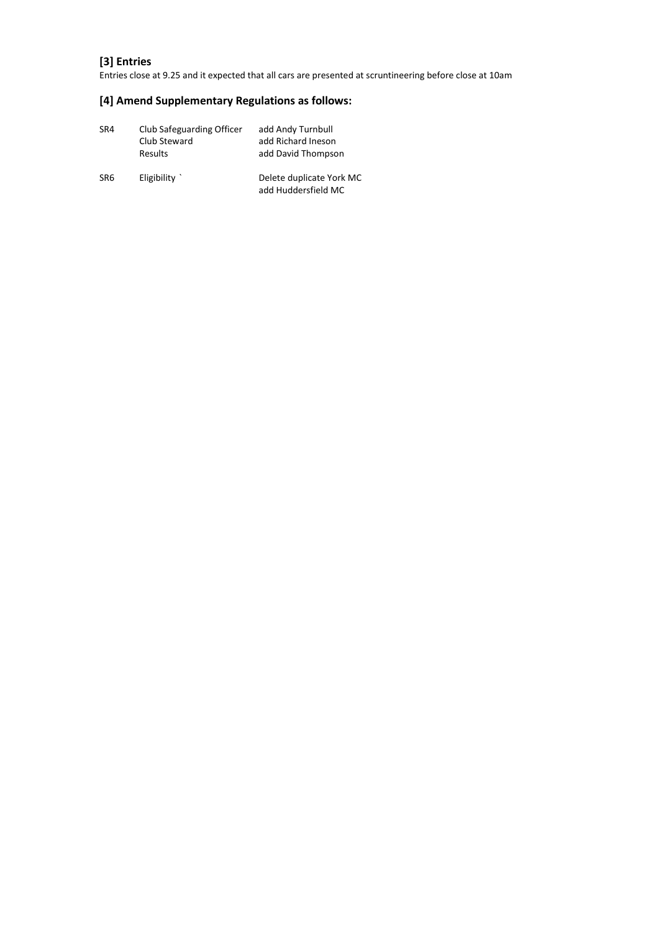# **[3] Entries**

Entries close at 9.25 and it expected that all cars are presented at scruntineering before close at 10am

# **[4] Amend Supplementary Regulations as follows:**

| SR4 | Club Safeguarding Officer<br>Club Steward<br><b>Results</b> | add Andy Turnbull<br>add Richard Ineson<br>add David Thompson |
|-----|-------------------------------------------------------------|---------------------------------------------------------------|
| SR6 | Eligibility $\dot{}$                                        | Delete duplicate York MC<br>add Huddersfield MC               |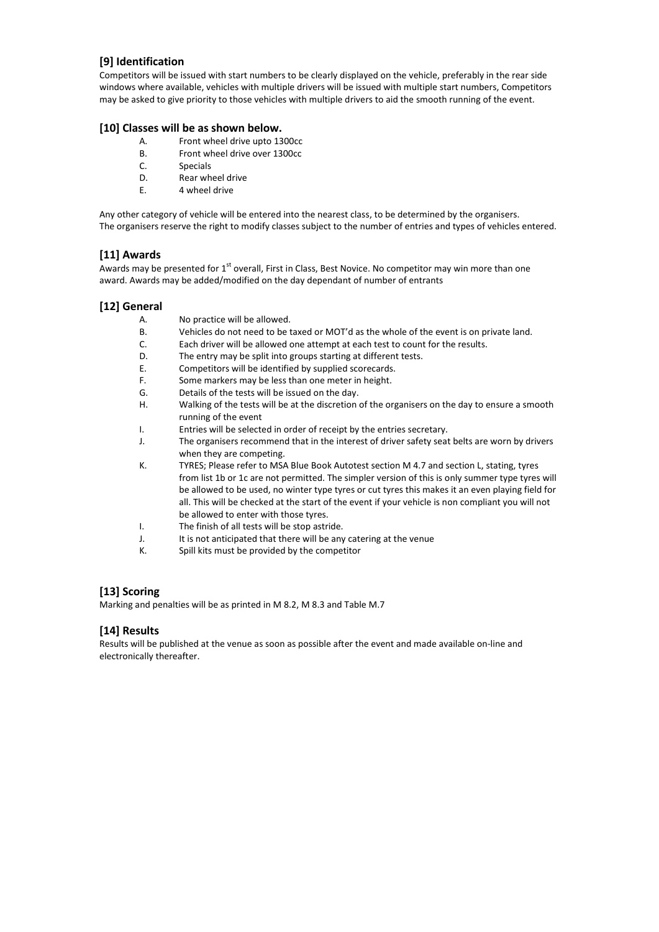## **[9] Identification**

Competitors will be issued with start numbers to be clearly displayed on the vehicle, preferably in the rear side windows where available, vehicles with multiple drivers will be issued with multiple start numbers, Competitors may be asked to give priority to those vehicles with multiple drivers to aid the smooth running of the event.

#### **[10] Classes will be as shown below.**

- A. Front wheel drive upto 1300cc
- B. Front wheel drive over 1300cc
- C. Specials
- D. Rear wheel drive
- E. 4 wheel drive

Any other category of vehicle will be entered into the nearest class, to be determined by the organisers. The organisers reserve the right to modify classes subject to the number of entries and types of vehicles entered.

#### **[11] Awards**

Awards may be presented for 1<sup>st</sup> overall, First in Class, Best Novice. No competitor may win more than one award. Awards may be added/modified on the day dependant of number of entrants

#### **[12] General**

- A. No practice will be allowed.
- B. Vehicles do not need to be taxed or MOT'd as the whole of the event is on private land.
- C. Each driver will be allowed one attempt at each test to count for the results.
- D. The entry may be split into groups starting at different tests.
- E. Competitors will be identified by supplied scorecards.
- F. Some markers may be less than one meter in height.
- G. Details of the tests will be issued on the day.
- H. Walking of the tests will be at the discretion of the organisers on the day to ensure a smooth running of the event
- I. Entries will be selected in order of receipt by the entries secretary.
- J. The organisers recommend that in the interest of driver safety seat belts are worn by drivers when they are competing.
- K. TYRES; Please refer to MSA Blue Book Autotest section M 4.7 and section L, stating, tyres from list 1b or 1c are not permitted. The simpler version of this is only summer type tyres will be allowed to be used, no winter type tyres or cut tyres this makes it an even playing field for all. This will be checked at the start of the event if your vehicle is non compliant you will not be allowed to enter with those tyres.
- I. The finish of all tests will be stop astride.
- J. It is not anticipated that there will be any catering at the venue
- K. Spill kits must be provided by the competitor

## **[13] Scoring**

Marking and penalties will be as printed in M 8.2, M 8.3 and Table M.7

## **[14] Results**

Results will be published at the venue as soon as possible after the event and made available on-line and electronically thereafter.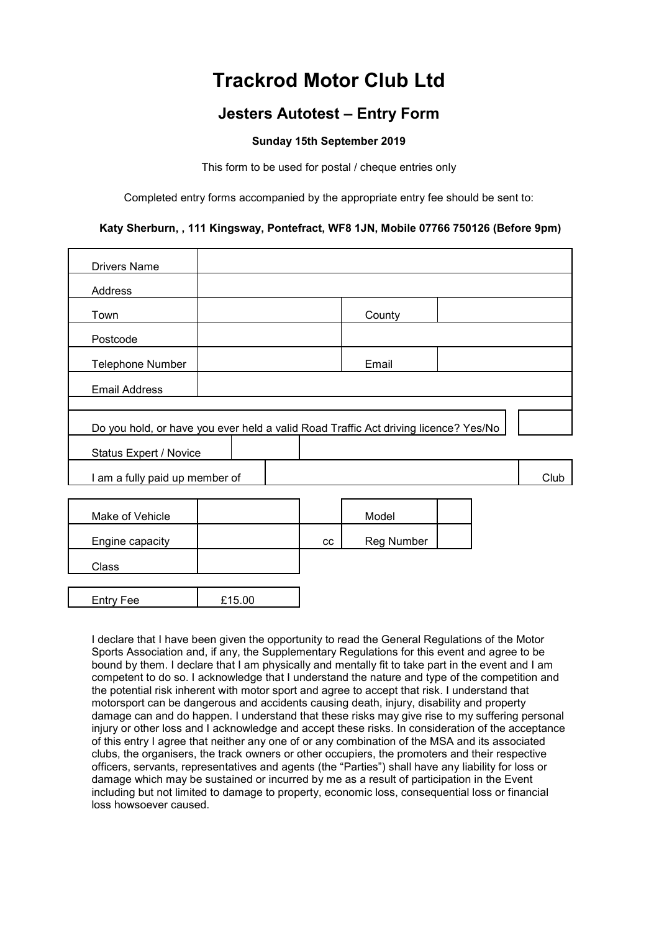# **Trackrod Motor Club Ltd**

# **Jesters Autotest – Entry Form**

# **Sunday 15th September 2019**

This form to be used for postal / cheque entries only

Completed entry forms accompanied by the appropriate entry fee should be sent to:

# **Katy Sherburn, , 111 Kingsway, Pontefract, WF8 1JN, Mobile 07766 750126 (Before 9pm)**

| <b>Drivers Name</b>                                                                 |        |    |                   |      |
|-------------------------------------------------------------------------------------|--------|----|-------------------|------|
| Address                                                                             |        |    |                   |      |
| Town                                                                                |        |    | County            |      |
| Postcode                                                                            |        |    |                   |      |
| <b>Telephone Number</b>                                                             |        |    | Email             |      |
| <b>Email Address</b>                                                                |        |    |                   |      |
|                                                                                     |        |    |                   |      |
| Do you hold, or have you ever held a valid Road Traffic Act driving licence? Yes/No |        |    |                   |      |
| Status Expert / Novice                                                              |        |    |                   |      |
| I am a fully paid up member of                                                      |        |    |                   | Club |
|                                                                                     |        |    |                   |      |
| Make of Vehicle                                                                     |        |    | Model             |      |
| Engine capacity                                                                     |        | cc | <b>Reg Number</b> |      |
| Class                                                                               |        |    |                   |      |
|                                                                                     |        |    |                   |      |
| <b>Entry Fee</b>                                                                    | £15.00 |    |                   |      |

I declare that I have been given the opportunity to read the General Regulations of the Motor Sports Association and, if any, the Supplementary Regulations for this event and agree to be bound by them. I declare that I am physically and mentally fit to take part in the event and I am competent to do so. I acknowledge that I understand the nature and type of the competition and the potential risk inherent with motor sport and agree to accept that risk. I understand that motorsport can be dangerous and accidents causing death, injury, disability and property damage can and do happen. I understand that these risks may give rise to my suffering personal injury or other loss and I acknowledge and accept these risks. In consideration of the acceptance of this entry I agree that neither any one of or any combination of the MSA and its associated clubs, the organisers, the track owners or other occupiers, the promoters and their respective officers, servants, representatives and agents (the "Parties") shall have any liability for loss or damage which may be sustained or incurred by me as a result of participation in the Event including but not limited to damage to property, economic loss, consequential loss or financial loss howsoever caused.